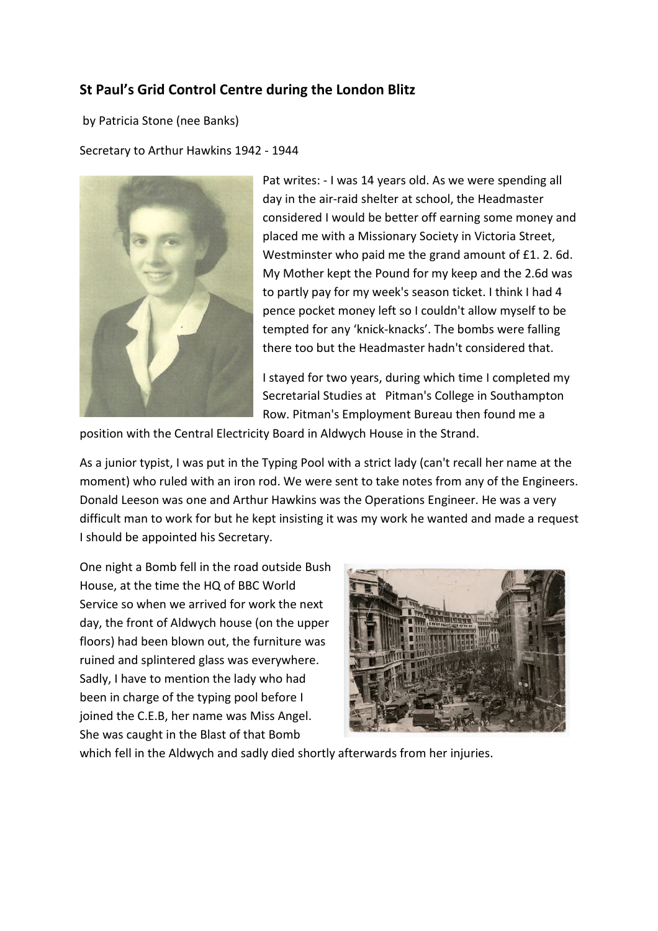## **St Paul's Grid Control Centre during the London Blitz**

by Patricia Stone (nee Banks)

Secretary to Arthur Hawkins 1942 - 1944



Pat writes: - I was 14 years old. As we were spending all day in the air-raid shelter at school, the Headmaster considered I would be better off earning some money and placed me with a Missionary Society in Victoria Street, Westminster who paid me the grand amount of £1. 2. 6d. My Mother kept the Pound for my keep and the 2.6d was to partly pay for my week's season ticket. I think I had 4 pence pocket money left so I couldn't allow myself to be tempted for any 'knick-knacks'. The bombs were falling there too but the Headmaster hadn't considered that.

I stayed for two years, during which time I completed my Secretarial Studies at Pitman's College in Southampton Row. Pitman's Employment Bureau then found me a

position with the Central Electricity Board in Aldwych House in the Strand.

As a junior typist, I was put in the Typing Pool with a strict lady (can't recall her name at the moment) who ruled with an iron rod. We were sent to take notes from any of the Engineers. Donald Leeson was one and Arthur Hawkins was the Operations Engineer. He was a very difficult man to work for but he kept insisting it was my work he wanted and made a request I should be appointed his Secretary.

One night a Bomb fell in the road outside Bush House, at the time the HQ of BBC World Service so when we arrived for work the next day, the front of Aldwych house (on the upper floors) had been blown out, the furniture was ruined and splintered glass was everywhere. Sadly, I have to mention the lady who had been in charge of the typing pool before I joined the C.E.B, her name was Miss Angel. She was caught in the Blast of that Bomb



which fell in the Aldwych and sadly died shortly afterwards from her injuries.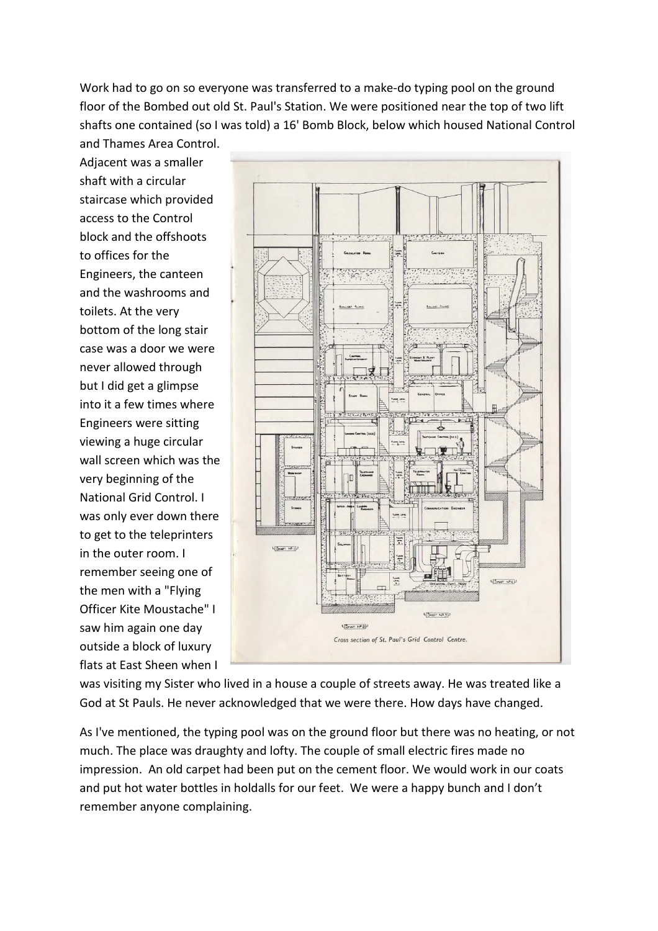Work had to go on so everyone was transferred to a make-do typing pool on the ground floor of the Bombed out old St. Paul's Station. We were positioned near the top of two lift shafts one contained (so I was told) a 16' Bomb Block, below which housed National Control and Thames Area Control.

Adjacent was a smaller shaft with a circular staircase which provided access to the Control block and the offshoots to offices for the Engineers, the canteen and the washrooms and toilets. At the very bottom of the long stair case was a door we were never allowed through but I did get a glimpse into it a few times where Engineers were sitting viewing a huge circular wall screen which was the very beginning of the National Grid Control. I was only ever down there to get to the teleprinters in the outer room. I remember seeing one of the men with a "Flying Officer Kite Moustache" I saw him again one day outside a block of luxury flats at East Sheen when I



was visiting my Sister who lived in a house a couple of streets away. He was treated like a God at St Pauls. He never acknowledged that we were there. How days have changed.

As I've mentioned, the typing pool was on the ground floor but there was no heating, or not much. The place was draughty and lofty. The couple of small electric fires made no impression. An old carpet had been put on the cement floor. We would work in our coats and put hot water bottles in holdalls for our feet. We were a happy bunch and I don't remember anyone complaining.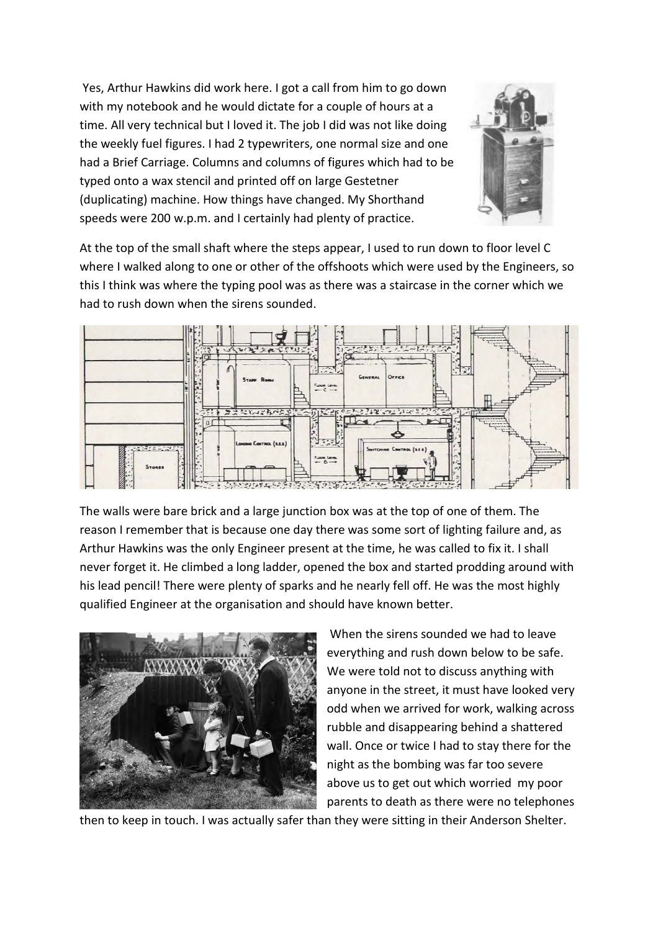Yes, Arthur Hawkins did work here. I got a call from him to go down with my notebook and he would dictate for a couple of hours at a time. All very technical but I loved it. The job I did was not like doing the weekly fuel figures. I had 2 typewriters, one normal size and one had a Brief Carriage. Columns and columns of figures which had to be typed onto a wax stencil and printed off on large Gestetner (duplicating) machine. How things have changed. My Shorthand speeds were 200 w.p.m. and I certainly had plenty of practice.



At the top of the small shaft where the steps appear, I used to run down to floor level C where I walked along to one or other of the offshoots which were used by the Engineers, so this I think was where the typing pool was as there was a staircase in the corner which we had to rush down when the sirens sounded.



The walls were bare brick and a large junction box was at the top of one of them. The reason I remember that is because one day there was some sort of lighting failure and, as Arthur Hawkins was the only Engineer present at the time, he was called to fix it. I shall never forget it. He climbed a long ladder, opened the box and started prodding around with his lead pencil! There were plenty of sparks and he nearly fell off. He was the most highly qualified Engineer at the organisation and should have known better.



When the sirens sounded we had to leave everything and rush down below to be safe. We were told not to discuss anything with anyone in the street, it must have looked very odd when we arrived for work, walking across rubble and disappearing behind a shattered wall. Once or twice I had to stay there for the night as the bombing was far too severe above us to get out which worried my poor parents to death as there were no telephones

then to keep in touch. I was actually safer than they were sitting in their Anderson Shelter.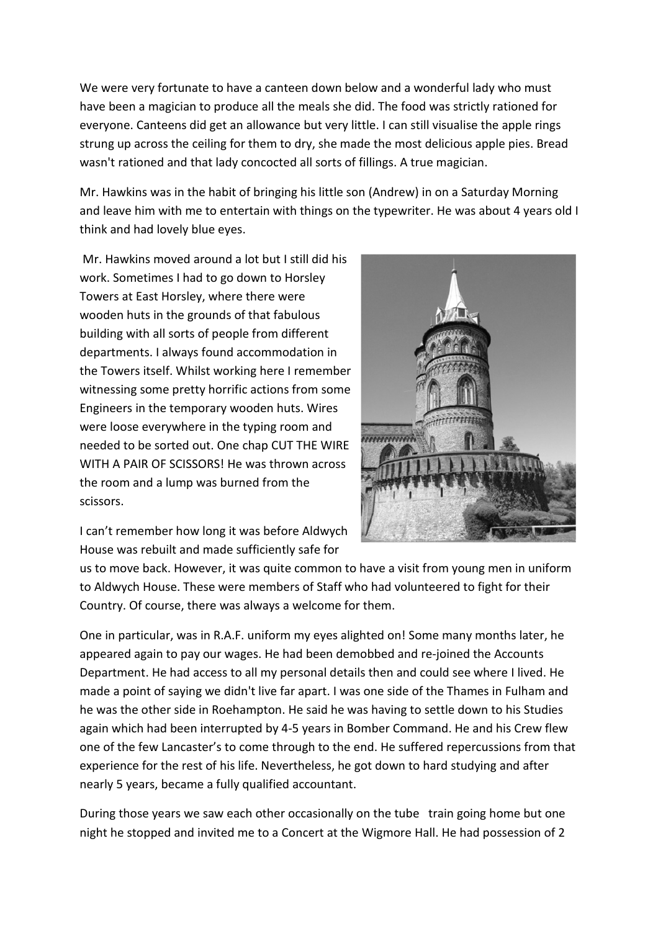We were very fortunate to have a canteen down below and a wonderful lady who must have been a magician to produce all the meals she did. The food was strictly rationed for everyone. Canteens did get an allowance but very little. I can still visualise the apple rings strung up across the ceiling for them to dry, she made the most delicious apple pies. Bread wasn't rationed and that lady concocted all sorts of fillings. A true magician.

Mr. Hawkins was in the habit of bringing his little son (Andrew) in on a Saturday Morning and leave him with me to entertain with things on the typewriter. He was about 4 years old I think and had lovely blue eyes.

Mr. Hawkins moved around a lot but I still did his work. Sometimes I had to go down to Horsley Towers at East Horsley, where there were wooden huts in the grounds of that fabulous building with all sorts of people from different departments. I always found accommodation in the Towers itself. Whilst working here I remember witnessing some pretty horrific actions from some Engineers in the temporary wooden huts. Wires were loose everywhere in the typing room and needed to be sorted out. One chap CUT THE WIRE WITH A PAIR OF SCISSORS! He was thrown across the room and a lump was burned from the scissors.



I can't remember how long it was before Aldwych House was rebuilt and made sufficiently safe for

us to move back. However, it was quite common to have a visit from young men in uniform to Aldwych House. These were members of Staff who had volunteered to fight for their Country. Of course, there was always a welcome for them.

One in particular, was in R.A.F. uniform my eyes alighted on! Some many months later, he appeared again to pay our wages. He had been demobbed and re-joined the Accounts Department. He had access to all my personal details then and could see where I lived. He made a point of saying we didn't live far apart. I was one side of the Thames in Fulham and he was the other side in Roehampton. He said he was having to settle down to his Studies again which had been interrupted by 4-5 years in Bomber Command. He and his Crew flew one of the few Lancaster's to come through to the end. He suffered repercussions from that experience for the rest of his life. Nevertheless, he got down to hard studying and after nearly 5 years, became a fully qualified accountant.

During those years we saw each other occasionally on the tube train going home but one night he stopped and invited me to a Concert at the Wigmore Hall. He had possession of 2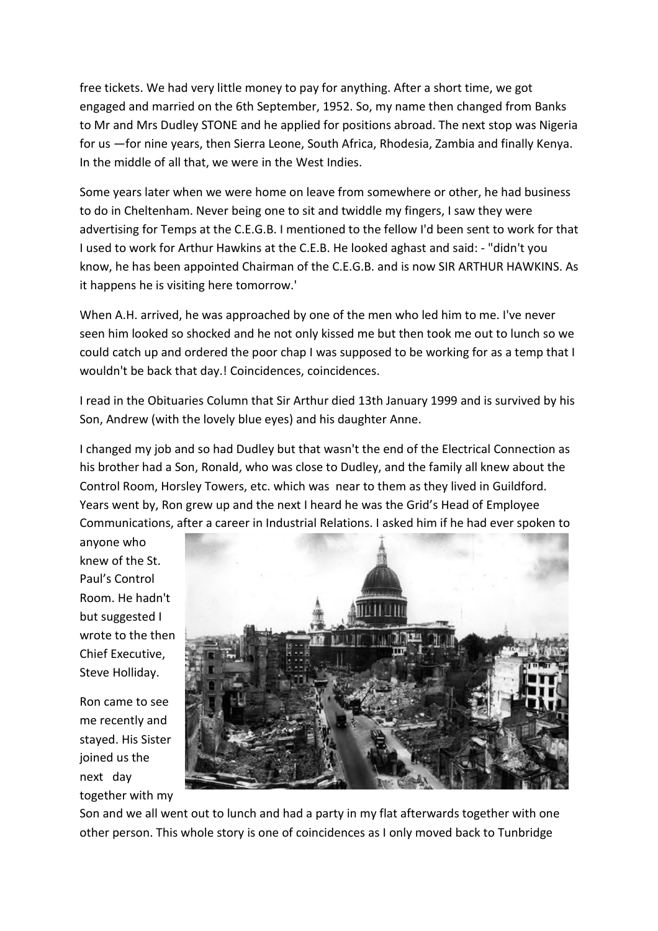free tickets. We had very little money to pay for anything. After a short time, we got engaged and married on the 6th September, 1952. So, my name then changed from Banks to Mr and Mrs Dudley STONE and he applied for positions abroad. The next stop was Nigeria for us —for nine years, then Sierra Leone, South Africa, Rhodesia, Zambia and finally Kenya. In the middle of all that, we were in the West Indies.

Some years later when we were home on leave from somewhere or other, he had business to do in Cheltenham. Never being one to sit and twiddle my fingers, I saw they were advertising for Temps at the C.E.G.B. I mentioned to the fellow I'd been sent to work for that I used to work for Arthur Hawkins at the C.E.B. He looked aghast and said: - "didn't you know, he has been appointed Chairman of the C.E.G.B. and is now SIR ARTHUR HAWKINS. As it happens he is visiting here tomorrow.'

When A.H. arrived, he was approached by one of the men who led him to me. I've never seen him looked so shocked and he not only kissed me but then took me out to lunch so we could catch up and ordered the poor chap I was supposed to be working for as a temp that I wouldn't be back that day.! Coincidences, coincidences.

I read in the Obituaries Column that Sir Arthur died 13th January 1999 and is survived by his Son, Andrew (with the lovely blue eyes) and his daughter Anne.

I changed my job and so had Dudley but that wasn't the end of the Electrical Connection as his brother had a Son, Ronald, who was close to Dudley, and the family all knew about the Control Room, Horsley Towers, etc. which was near to them as they lived in Guildford. Years went by, Ron grew up and the next I heard he was the Grid's Head of Employee Communications, after a career in Industrial Relations. I asked him if he had ever spoken to

anyone who knew of the St. Paul's Control Room. He hadn't but suggested I wrote to the then Chief Executive, Steve Holliday.

Ron came to see me recently and stayed. His Sister joined us the next day together with my



Son and we all went out to lunch and had a party in my flat afterwards together with one other person. This whole story is one of coincidences as I only moved back to Tunbridge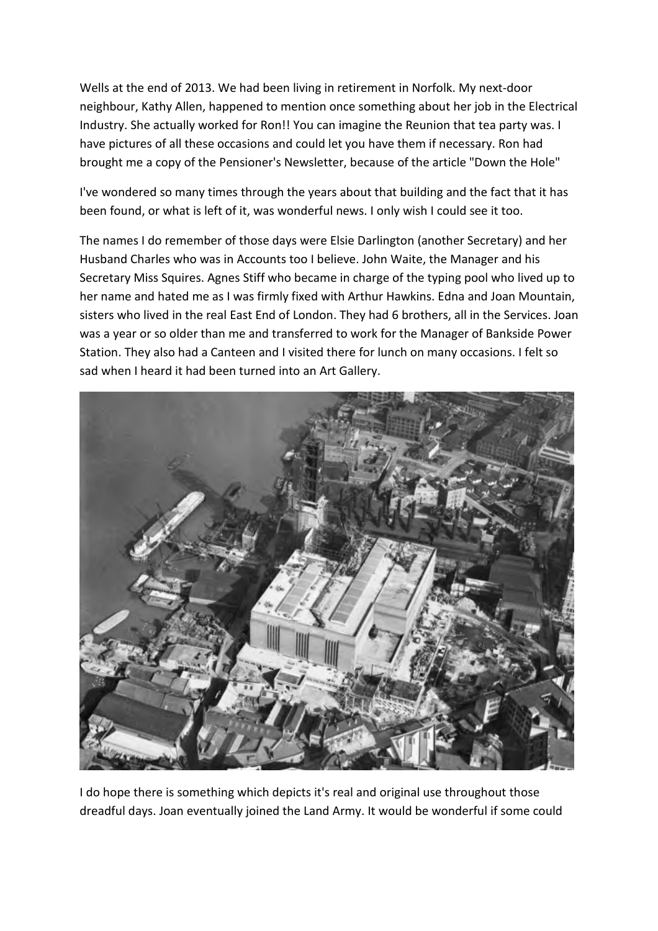Wells at the end of 2013. We had been living in retirement in Norfolk. My next-door neighbour, Kathy Allen, happened to mention once something about her job in the Electrical Industry. She actually worked for Ron!! You can imagine the Reunion that tea party was. I have pictures of all these occasions and could let you have them if necessary. Ron had brought me a copy of the Pensioner's Newsletter, because of the article "Down the Hole"

I've wondered so many times through the years about that building and the fact that it has been found, or what is left of it, was wonderful news. I only wish I could see it too.

The names I do remember of those days were Elsie Darlington (another Secretary) and her Husband Charles who was in Accounts too I believe. John Waite, the Manager and his Secretary Miss Squires. Agnes Stiff who became in charge of the typing pool who lived up to her name and hated me as I was firmly fixed with Arthur Hawkins. Edna and Joan Mountain, sisters who lived in the real East End of London. They had 6 brothers, all in the Services. Joan was a year or so older than me and transferred to work for the Manager of Bankside Power Station. They also had a Canteen and I visited there for lunch on many occasions. I felt so sad when I heard it had been turned into an Art Gallery.



I do hope there is something which depicts it's real and original use throughout those dreadful days. Joan eventually joined the Land Army. It would be wonderful if some could